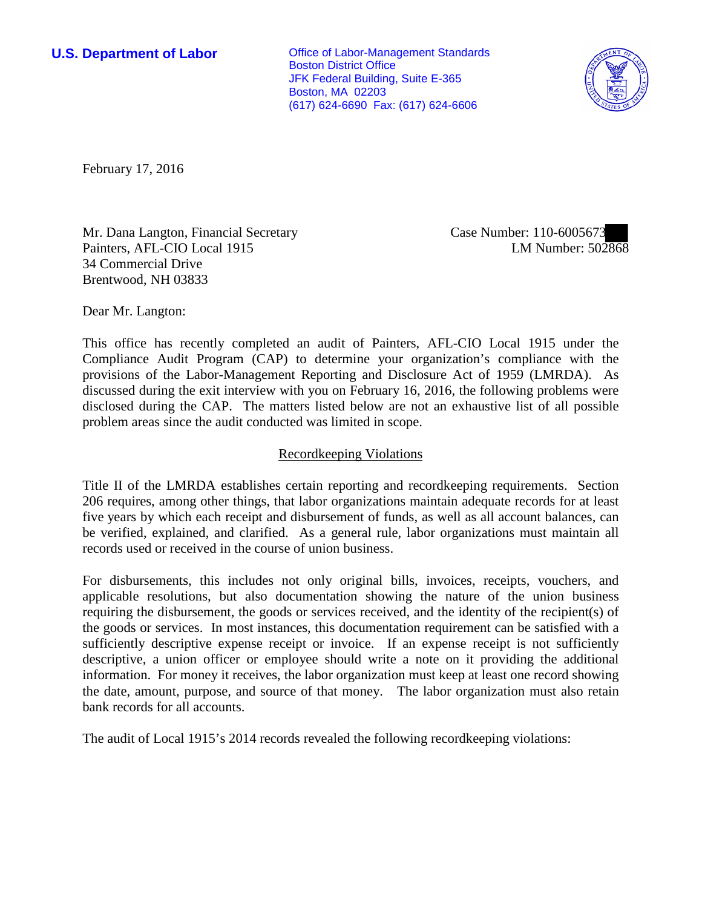**U.S. Department of Labor Office of Labor-Management Standards** Boston District Office JFK Federal Building, Suite E-365 Boston, MA 02203 (617) 624-6690 Fax: (617) 624-6606



February 17, 2016

Mr. Dana Langton, Financial Secretary Painters, AFL-CIO Local 1915 34 Commercial Drive Brentwood, NH 03833

Case Number: 110-6005673 LM Number: 502868

Dear Mr. Langton:

This office has recently completed an audit of Painters, AFL-CIO Local 1915 under the Compliance Audit Program (CAP) to determine your organization's compliance with the provisions of the Labor-Management Reporting and Disclosure Act of 1959 (LMRDA). As discussed during the exit interview with you on February 16, 2016, the following problems were disclosed during the CAP. The matters listed below are not an exhaustive list of all possible problem areas since the audit conducted was limited in scope.

## Recordkeeping Violations

Title II of the LMRDA establishes certain reporting and recordkeeping requirements. Section 206 requires, among other things, that labor organizations maintain adequate records for at least five years by which each receipt and disbursement of funds, as well as all account balances, can be verified, explained, and clarified. As a general rule, labor organizations must maintain all records used or received in the course of union business.

For disbursements, this includes not only original bills, invoices, receipts, vouchers, and applicable resolutions, but also documentation showing the nature of the union business requiring the disbursement, the goods or services received, and the identity of the recipient(s) of the goods or services. In most instances, this documentation requirement can be satisfied with a sufficiently descriptive expense receipt or invoice. If an expense receipt is not sufficiently descriptive, a union officer or employee should write a note on it providing the additional information. For money it receives, the labor organization must keep at least one record showing the date, amount, purpose, and source of that money. The labor organization must also retain bank records for all accounts.

The audit of Local 1915's 2014 records revealed the following recordkeeping violations: